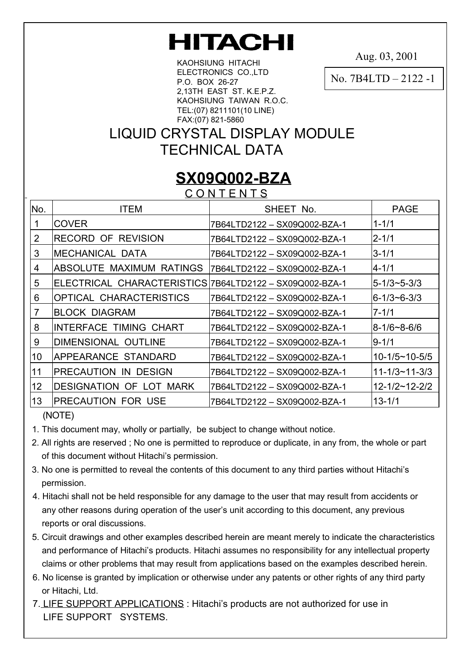# **HITACHI**

Aug. 03, 2001

KAOHSIUNG HITACHI ELECTRONICS CO.,LTD P.O. BOX 26-27 2,13TH EAST ST. K.E.P.Z. KAOHSIUNG TAIWAN R.O.C. TEL:(07) 8211101(10 LINE) FAX:(07) 821-5860

No. 7B4LTD – 2122 -1

## LIQUID CRYSTAL DISPLAY MODULE TECHNICAL DATA

## **SX09Q002-BZA**

C O N T E N T S

| No.            | <b>ITEM</b>                                             | SHEET No.                    | <b>PAGE</b>           |  |  |  |  |  |  |
|----------------|---------------------------------------------------------|------------------------------|-----------------------|--|--|--|--|--|--|
|                | <b>COVER</b>                                            | 7B64LTD2122 - SX09Q002-BZA-1 | $1 - 1/1$             |  |  |  |  |  |  |
| $\overline{2}$ | <b>RECORD OF REVISION</b>                               | 7B64LTD2122 - SX09Q002-BZA-1 | $2 - 1/1$             |  |  |  |  |  |  |
| 3              | IMECHANICAL DATA                                        | 7B64LTD2122 - SX09Q002-BZA-1 | $3 - 1/1$             |  |  |  |  |  |  |
| 4              | ABSOLUTE MAXIMUM RATINGS                                | 7B64LTD2122 - SX09Q002-BZA-1 | $4 - 1/1$             |  |  |  |  |  |  |
| 5              | ELECTRICAL CHARACTERISTICS 7B64LTD2122 - SX09Q002-BZA-1 |                              | $5 - 1/3 - 5 - 3/3$   |  |  |  |  |  |  |
| 6              | <b>OPTICAL CHARACTERISTICS</b>                          | 7B64LTD2122 - SX09Q002-BZA-1 | 6-1/3∼6-3/3           |  |  |  |  |  |  |
| $\overline{7}$ | <b>BLOCK DIAGRAM</b>                                    | 7B64LTD2122 - SX09Q002-BZA-1 | $7 - 1/1$             |  |  |  |  |  |  |
| 8              | <b>INTERFACE TIMING CHART</b>                           | 7B64LTD2122 - SX09Q002-BZA-1 | l8-1/6~8-6/6          |  |  |  |  |  |  |
| 9              | DIMENSIONAL OUTLINE                                     | 7B64LTD2122 - SX09Q002-BZA-1 | $9 - 1/1$             |  |  |  |  |  |  |
| 10             | APPEARANCE STANDARD                                     | 7B64LTD2122 - SX09Q002-BZA-1 | $10-1/5 \sim 10-5/5$  |  |  |  |  |  |  |
| 11             | PRECAUTION IN DESIGN                                    | 7B64LTD2122 - SX09Q002-BZA-1 | 11-1/3~11-3/3         |  |  |  |  |  |  |
| 12             | <b>DESIGNATION OF LOT MARK</b>                          | 7B64LTD2122 - SX09Q002-BZA-1 | $12 - 1/2 - 12 - 2/2$ |  |  |  |  |  |  |
| 13             | <b>PRECAUTION FOR USE</b>                               | 7B64LTD2122 - SX09Q002-BZA-1 | 13-1/1                |  |  |  |  |  |  |

(NOTE)

- 1. This document may, wholly or partially, be subject to change without notice.
- 2. All rights are reserved ; No one is permitted to reproduce or duplicate, in any from, the whole or part of this document without Hitachi's permission.
- 3. No one is permitted to reveal the contents of this document to any third parties without Hitachi's permission.
- 4. Hitachi shall not be held responsible for any damage to the user that may result from accidents or any other reasons during operation of the user's unit according to this document, any previous reports or oral discussions.
- 5. Circuit drawings and other examples described herein are meant merely to indicate the characteristics and performance of Hitachi's products. Hitachi assumes no responsibility for any intellectual property claims or other problems that may result from applications based on the examples described herein.
- 6. No license is granted by implication or otherwise under any patents or other rights of any third party or Hitachi, Ltd.
- 7. LIFE SUPPORT APPLICATIONS : Hitachi's products are not authorized for use in LIFE SUPPORT SYSTEMS.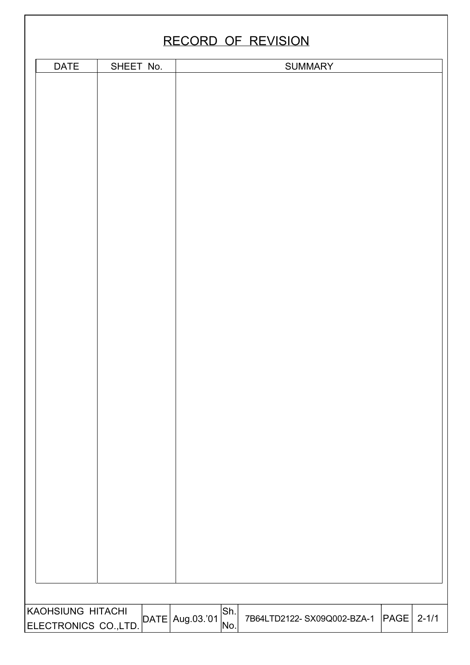## RECORD OF REVISION

| <b>DATE</b>          | SHEET No. |                                  |     | SUMMARY                    |      |           |
|----------------------|-----------|----------------------------------|-----|----------------------------|------|-----------|
|                      |           |                                  |     |                            |      |           |
|                      |           |                                  |     |                            |      |           |
|                      |           |                                  |     |                            |      |           |
|                      |           |                                  |     |                            |      |           |
|                      |           |                                  |     |                            |      |           |
|                      |           |                                  |     |                            |      |           |
|                      |           |                                  |     |                            |      |           |
|                      |           |                                  |     |                            |      |           |
|                      |           |                                  |     |                            |      |           |
|                      |           |                                  |     |                            |      |           |
|                      |           |                                  |     |                            |      |           |
|                      |           |                                  |     |                            |      |           |
|                      |           |                                  |     |                            |      |           |
|                      |           |                                  |     |                            |      |           |
|                      |           |                                  |     |                            |      |           |
|                      |           |                                  |     |                            |      |           |
|                      |           |                                  |     |                            |      |           |
|                      |           |                                  |     |                            |      |           |
|                      |           |                                  |     |                            |      |           |
|                      |           |                                  |     |                            |      |           |
|                      |           |                                  |     |                            |      |           |
|                      |           |                                  |     |                            |      |           |
|                      |           |                                  |     |                            |      |           |
|                      |           |                                  |     |                            |      |           |
|                      |           |                                  |     |                            |      |           |
|                      |           |                                  |     |                            |      |           |
|                      |           |                                  |     |                            |      |           |
|                      |           |                                  |     |                            |      |           |
|                      |           |                                  |     |                            |      |           |
|                      |           |                                  |     |                            |      |           |
|                      |           |                                  |     |                            |      |           |
|                      |           |                                  |     |                            |      |           |
|                      |           |                                  |     |                            |      |           |
|                      |           |                                  |     |                            |      |           |
|                      |           |                                  |     |                            |      |           |
|                      |           |                                  |     |                            |      |           |
|                      |           |                                  |     |                            |      |           |
|                      |           |                                  |     |                            |      |           |
|                      |           |                                  |     |                            |      |           |
|                      |           |                                  |     |                            |      |           |
| KAOHSIUNG HITACHI    |           |                                  | Sh. |                            |      |           |
| ELECTRONICS CO.,LTD. |           | $\Delta$ DATE $\Delta$ ug.03.'01 | No. | 7B64LTD2122-SX09Q002-BZA-1 | PAGE | $2 - 1/1$ |
|                      |           |                                  |     |                            |      |           |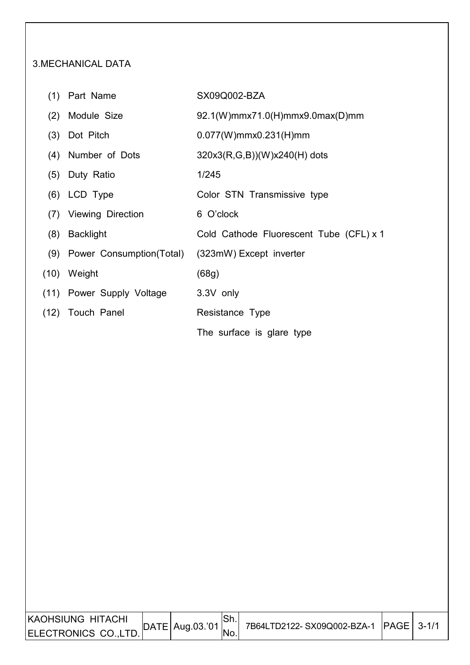#### 3.MECHANICAL DATA

- 
- (1) Part Name SX09Q002-BZA
- (2) Module Size 92.1(W)mmx71.0(H)mmx9.0max(D)mm
- (3) Dot Pitch 0.077(W)mmx0.231(H)mm
- (4) Number of Dots 320x3(R,G,B))(W)x240(H) dots
- (5) Duty Ratio 1/245

I

- (6) LCD Type Color STN Transmissive type
- (7) Viewing Direction 6 O'clock
- (8) Backlight Cold Cathode Fluorescent Tube (CFL) x 1
- (9) Power Consumption(Total) (323mW) Except inverter
- (10) Weight (68g)
- (11) Power Supply Voltage 3.3V only
- (12) Touch Panel Resistance Type The surface is glare type

KAOHSIUNG HITACHI ELECTRONICS CO.,LTD.  $\begin{bmatrix} \text{DATA} & \text{Data} \\ \text{Data} & \text{Data} \end{bmatrix}$  7B64LTD2122- SX09Q002-BZA-1  $\begin{bmatrix} \text{PAGE} & 3-1/1 \\ \text{BAGE} & \text{A+1/2} \end{bmatrix}$ Sh. No.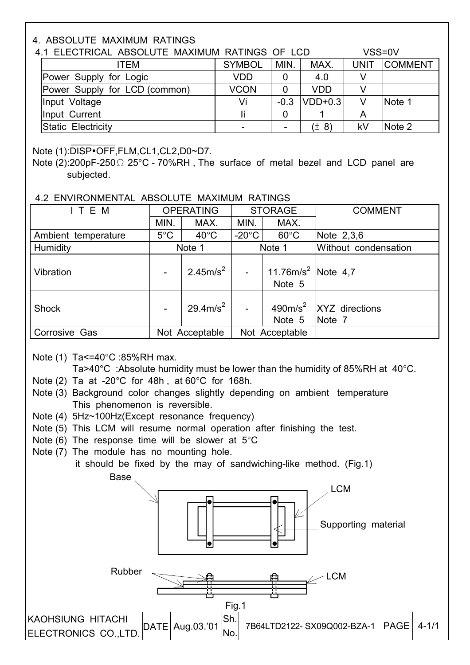#### 4. ABSOLUTE MAXIMUM RATINGS

| 4.1 ELECTRICAL ABSOLUTE MAXIMUM RATINGS OF LCD |               |        |            | VSS=0V      |                |
|------------------------------------------------|---------------|--------|------------|-------------|----------------|
| ITEM                                           | <b>SYMBOL</b> | MIN.   | MAX.       | <b>UNIT</b> | <b>COMMENT</b> |
| Power Supply for Logic                         | <b>VDD</b>    |        | 4.0        |             |                |
| Power Supply for LCD (common)                  | <b>VCON</b>   |        | <b>VDD</b> |             |                |
| Input Voltage                                  | Vi            | $-0.3$ | $VDD+0.3$  |             | Note 1         |
| Input Current                                  |               |        |            |             |                |
| Static Electricity                             |               |        | $(\pm 8)$  | kV          | Note 2         |

#### Note (1):DISP•OFF,FLM,CL1,CL2,D0~D7.

#### 4.2 ENVIRONMENTAL ABSOLUTE MAXIMUM RATINGS

| ITEM                |               | <b>OPERATING</b>     |                 | <b>STORAGE</b>                           | <b>COMMENT</b>                        |  |  |  |  |  |
|---------------------|---------------|----------------------|-----------------|------------------------------------------|---------------------------------------|--|--|--|--|--|
|                     | MIN.          | MAX.                 | MIN.            | MAX.                                     |                                       |  |  |  |  |  |
| Ambient temperature | $5^{\circ}$ C | $40^{\circ}$ C       | $-20^{\circ}$ C | $60^{\circ}$ C                           | Note 2,3,6                            |  |  |  |  |  |
| Humidity            |               | Note 1               |                 | Note 1                                   | Without condensation                  |  |  |  |  |  |
| Vibration           |               | 2.45m/s <sup>2</sup> | $\overline{a}$  | 11.76m/s <sup>2</sup> Note 4.7<br>Note 5 |                                       |  |  |  |  |  |
| <b>Shock</b>        |               | $29.4 \text{m/s}^2$  |                 | Note 5                                   | 490 $m/s^2$  XYZ directions<br>Note 7 |  |  |  |  |  |
| Corrosive Gas       |               | Not Acceptable       |                 | Not Acceptable                           |                                       |  |  |  |  |  |

Note (1) Ta<=40°C :85%RH max.

Ta>40°C :Absolute humidity must be lower than the humidity of 85%RH at 40°C.

- Note (2) Ta at -20°C for 48h , at 60°C for 168h.
- Note (3) Background color changes slightly depending on ambient temperature This phenomenon is reversible.
- Note (4) 5Hz~100Hz(Except resonance frequency)
- Note (5) This LCM will resume normal operation after finishing the test.
- Note  $(6)$  The response time will be slower at  $5^{\circ}$ C
- Note (7) The module has no mounting hole.



Note (2):200pF-250Ω 25°C - 70%RH , The surface of metal bezel and LCD panel are subjected.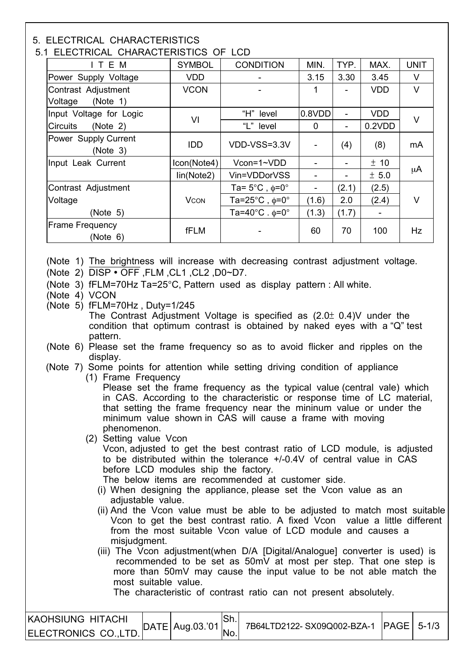#### 5. ELECTRICAL CHARACTERISTICS

I

#### 5.1 ELECTRICAL CHARACTERISTICS OF LCD

| LLLVING IL ON IN INTO ILITIO OT    |               |                                          |        |                |            |             |
|------------------------------------|---------------|------------------------------------------|--------|----------------|------------|-------------|
| ITEM                               | <b>SYMBOL</b> | <b>CONDITION</b>                         | MIN.   | TYP.           | MAX.       | <b>UNIT</b> |
| Power Supply Voltage               | <b>VDD</b>    |                                          | 3.15   | 3.30           | 3.45       | $\vee$      |
| Contrast Adjustment                | <b>VCON</b>   |                                          |        |                | <b>VDD</b> | $\vee$      |
| Voltage<br>(Note 1)                |               |                                          |        |                |            |             |
| Input Voltage for Logic            |               | "H" level                                | 0.8VDD |                | <b>VDD</b> | V           |
| <b>Circuits</b><br>(Note 2)        | VI            | "L" level                                | 0      | $\blacksquare$ | 0.2VDD     |             |
| Power Supply Current<br>(Note 3)   | <b>IDD</b>    | VDD-VSS=3.3V                             |        | (4)            | (8)        | mA          |
| Input Leak Current                 | Icon(Note4)   | Vcon=1~VDD                               |        |                | ± 10       |             |
|                                    | lin(Note2)    | Vin=VDDorVSS                             |        |                | ± 5.0      | μA          |
| Contrast Adjustment                |               | Ta= $5^{\circ}$ C, $\phi$ =0°            |        | (2.1)          | (2.5)      |             |
| Voltage                            | <b>VCON</b>   | Ta=25 $^{\circ}$ C, $\phi$ =0 $^{\circ}$ | (1.6)  | 2.0            | (2.4)      | V           |
| (Note 5)                           |               | Ta=40 $^{\circ}$ C. $\phi$ =0 $^{\circ}$ | (1.3)  | (1.7)          |            |             |
| <b>Frame Frequency</b><br>(Note 6) | fFLM          |                                          | 60     | 70             | 100        | Hz          |

(Note 1) The brightness will increase with decreasing contrast adjustment voltage.

- (Note 2)  $\overline{DISP \cdot OFF}$  . FLM . CL1 . CL2 . D0~D7.
- (Note 3) fFLM=70Hz Ta=25°C, Pattern used as display pattern : All white.
- (Note 4) VCON
- (Note 5) fFLM=70Hz , Duty=1/245 The Contrast Adjustment Voltage is specified as (2.0± 0.4)V under the condition that optimum contrast is obtained by naked eyes with a "Q" test pattern.
- (Note 6) Please set the frame frequency so as to avoid flicker and ripples on the display.
- (Note 7) Some points for attention while setting driving condition of appliance
	- (1) Frame Frequency

Please set the frame frequency as the typical value (central vale) which in CAS. According to the characteristic or response time of LC material, that setting the frame frequency near the mininum value or under the minimum value shown in CAS will cause a frame with moving phenomenon.

(2) Setting value Vcon

Vcon, adjusted to get the best contrast ratio of LCD module, is adjusted to be distributed within the tolerance +/-0.4V of central value in CAS before LCD modules ship the factory.

- The below items are recommended at customer side.
- (i) When designing the appliance, please set the Vcon value as an adjustable value.
- (ii) And the Vcon value must be able to be adjusted to match most suitable Vcon to get the best contrast ratio. A fixed Vcon value a little different from the most suitable Vcon value of LCD module and causes a misjudgment.
- (iii) The Vcon adjustment(when D/A [Digital/Analogue] converter is used) is recommended to be set as 50mV at most per step. That one step is more than 50mV may cause the input value to be not able match the most suitable value.

The characteristic of contrast ratio can not present absolutely.

| KAOHSIUNG HITACHI                  | $\text{DATE}$ Aug.03.'01 |     | 7B64LTD2122- SX09Q002-BZA-1 PAGE   5-1/3 |  |
|------------------------------------|--------------------------|-----|------------------------------------------|--|
| ELECTRONICS CO.,LTD.  <sup> </sup> |                          | Mo. |                                          |  |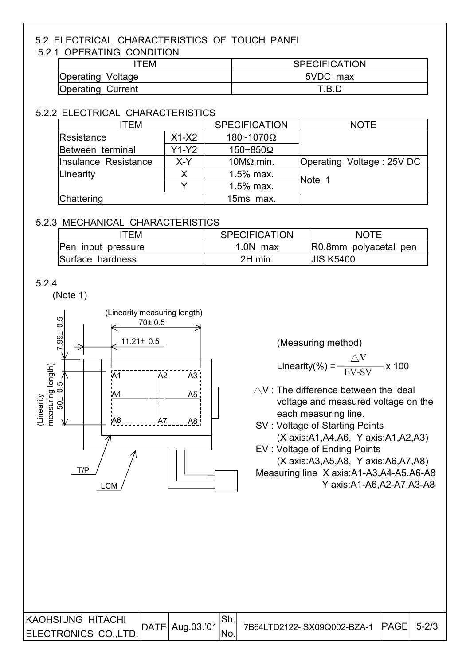## 5.2 ELECTRICAL CHARACTERISTICS OF TOUCH PANEL

#### 5.2.1 OPERATING CONDITION

| TEM                      | <b>SPECIFICATION</b> |  |  |  |  |
|--------------------------|----------------------|--|--|--|--|
| <b>Operating Voltage</b> | 5VDC max             |  |  |  |  |
| Operating Current        | T.B.D                |  |  |  |  |

#### 5.2.2 ELECTRICAL CHARACTERISTICS

| ITEM                 |                              | <b>SPECIFICATION</b> | <b>NOTE</b>               |
|----------------------|------------------------------|----------------------|---------------------------|
| Resistance           | $X1-X2$                      | 180~1070Ω            |                           |
| Between terminal     | $Y1-Y2$<br>$150 - 850\Omega$ |                      |                           |
| Insulance Resistance | X-Y                          | $10M\Omega$ min.     | Operating Voltage: 25V DC |
| Linearity            |                              | 1.5% max.            | Note 1                    |
|                      |                              | 1.5% max.            |                           |
| Chattering           |                              | 15ms max.            |                           |

### 5.2.3 MECHANICAL CHARACTERISTICS

| TEM                | <b>SPECIFICATION</b> | <b>NOTE</b>           |
|--------------------|----------------------|-----------------------|
| Pen input pressure | $1.0N$ max           | R0.8mm polyacetal pen |
| Surface hardness   | 2H min.              | <b>JIS K5400</b>      |

#### 5.2.4

(Note 1)



$$
.inearity(\%) = \frac{\triangle V}{EV-SV} \times 100
$$

- $\wedge$ V : The difference between the ideal voltage and measured voltage on the
- SV : Voltage of Starting Points (X axis:A1,A4,A6, Y axis:A1,A2,A3)

 EV : Voltage of Ending Points (X axis:A3,A5,A8, Y axis:A6,A7,A8) Measuring line X axis:A1-A3,A4-A5.A6-A8 Y axis:A1-A6,A2-A7,A3-A8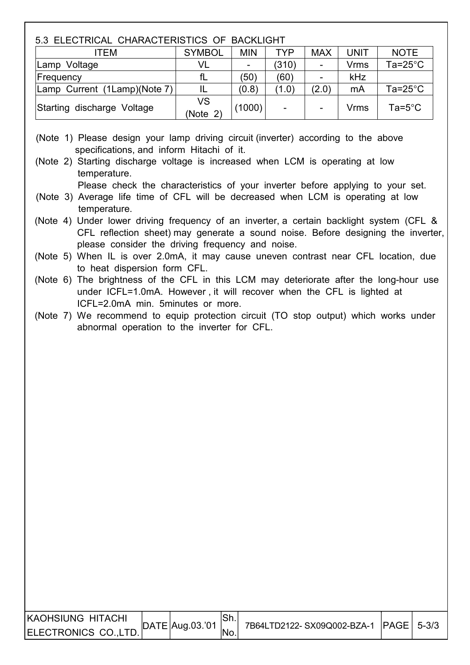## 5.3 ELECTRICAL CHARACTERISTICS OF BACKLIGHT ITEM SYMBOL MIN TYP MAX UNIT NOTE Lamp Voltage | VL | - | (310) | - | Vrms | Ta=25°C

| ILAIIID VUILAYU              | ິ              |        | 1 J I U J |       | v 11113 | 1 a-2 o            |
|------------------------------|----------------|--------|-----------|-------|---------|--------------------|
| Frequency                    |                | (50)   | (60'      |       | kHz     |                    |
| Lamp Current (1Lamp)(Note 7) |                | (0.8)  | (1.0)     | (2.0) | mA      | Ta= $25^{\circ}$ C |
| Starting discharge Voltage   | VS<br>(Note 2) | (1000) | ۰         |       | Vrms    | $Ta=5^{\circ}C$    |
|                              |                |        |           |       |         |                    |

(Note 1) Please design your lamp driving circuit (inverter) according to the above specifications, and inform Hitachi of it.

 (Note 2) Starting discharge voltage is increased when LCM is operating at low temperature.

Please check the characteristics of your inverter before applying to your set.

- (Note 3) Average life time of CFL will be decreased when LCM is operating at low temperature.
- (Note 4) Under lower driving frequency of an inverter, a certain backlight system (CFL & CFL reflection sheet) may generate a sound noise. Before designing the inverter, please consider the driving frequency and noise.
- (Note 5) When IL is over 2.0mA, it may cause uneven contrast near CFL location, due to heat dispersion form CFL.
- (Note 6) The brightness of the CFL in this LCM may deteriorate after the long-hour use under ICFL=1.0mA. However , it will recover when the CFL is lighted at ICFL=2.0mA min. 5minutes or more.
- (Note 7) We recommend to equip protection circuit (TO stop output) which works under abnormal operation to the inverter for CFL.

| KAOHSIUNG HITACHI    | $DATE$ Aug.03.'01 | 7B64LTD2122-SX09Q002-BZA-1 PAGE 5-3/3 |  |
|----------------------|-------------------|---------------------------------------|--|
| ELECTRONICS CO.,LTD. |                   |                                       |  |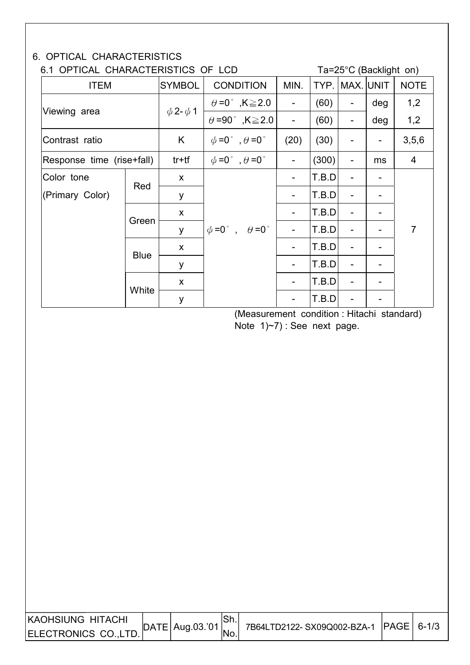### 6. OPTICAL CHARACTERISTICS

I

I I I

## 6.1 OPTICAL CHARACTERISTICS OF LCD Ta=25°C (Backlight on)

 $ITEM$  SYMBOL CONDITION  $\parallel$  MIN. TYP. MAX. UNIT  $\parallel$  NOTE Viewing area  $\left[\begin{array}{cc} \phi=0^\circ\end{array},K\geq2.0\right]$  - (60) - deg 1,2  $\theta$ =90°, K $\geq$ 2.0 - (60) - deg 1,2 Contrast ratio K ψ=0° ,θ=0° (20) (30) - - 3,5,6 Response time (rise+fall) tr+tf  $\phi = 0^\circ$ ,  $\theta = 0^\circ$  | -  $|(300)|$  - | ms | 4  $\vert$  Color tone  $\vert$  x  $\vert$  x  $\vert$  -  $\vert$  -  $\vert$  T.B.D $\vert$  -  $\vert$  -(Primary Color) Red  $y \mid$  - T.B.D -  $x \mid$  - T.B.D - -Green y  $|\phi=0^{\circ}$ ,  $\theta=0^{\circ}|$  -  $|T.B.D|$  -  $|$  -  $|$  7  $x \mid$  - T.B.D - -Blue  $y \mid$  - T.B.D -  $x \mid$  - T.B.D - -**White**  $y$   $|$  -  $|$  -  $|$  T.B.D $|$  -  $|$  -

> (Measurement condition : Hitachi standard) Note 1)~7) : See next page.

| KAOHSIUNG HITACHI     | $\vert$ DATE   Aug.03.'01 | 7B64LTD2122-SX09Q002-BZA-1 PAGE   6-1/3 |  |
|-----------------------|---------------------------|-----------------------------------------|--|
| ELECTRONICS CO., LTD. |                           |                                         |  |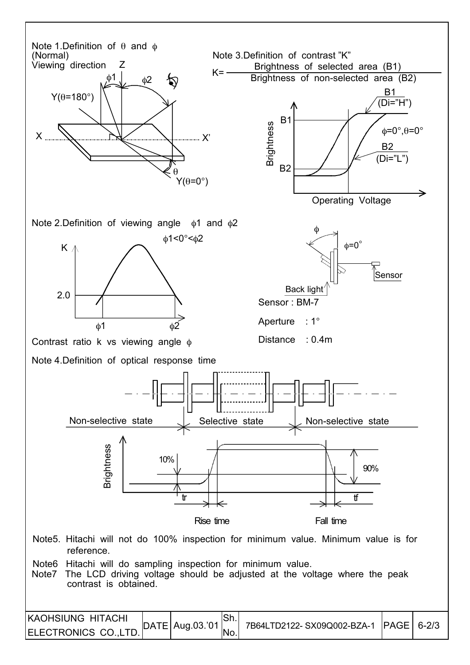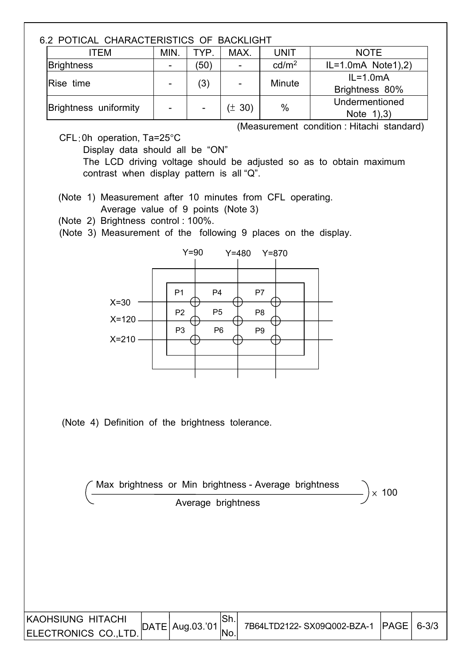#### 6.2 POTICAL CHARACTERISTICS OF BACKLIGHT

| ITEM                  | MIN.                     | TYP. | MAX.   | <b>UNIT</b>       | <b>NOTE</b>                  |  |  |  |  |  |  |
|-----------------------|--------------------------|------|--------|-------------------|------------------------------|--|--|--|--|--|--|
| <b>Brightness</b>     | $\blacksquare$           | (50) |        | cd/m <sup>2</sup> | $IL=1.0mA$ Note 1), 2)       |  |  |  |  |  |  |
| Rise time             | $\blacksquare$           | (3)  |        | Minute            | $IL=1.0mA$<br>Brightness 80% |  |  |  |  |  |  |
| Brightness uniformity | $\overline{\phantom{0}}$ |      | (± 30) | $\%$              | Undermentioned<br>Note $1,3$ |  |  |  |  |  |  |

(Measurement condition : Hitachi standard)

CFL:0h operation, Ta=25°C

Display data should all be "ON"

 The LCD driving voltage should be adjusted so as to obtain maximum contrast when display pattern is all "Q".

(Note 1) Measurement after 10 minutes from CFL operating.

Average value of 9 points (Note 3)

(Note 2) Brightness control : 100%.

(Note 3) Measurement of the following 9 places on the display.



(Note 4) Definition of the brightness tolerance.

|                                                  | Max brightness or Min brightness - Average brightness | $\times$ 100                    |            |                            |      |           |
|--------------------------------------------------|-------------------------------------------------------|---------------------------------|------------|----------------------------|------|-----------|
|                                                  |                                                       | Average brightness              |            |                            |      |           |
|                                                  |                                                       |                                 |            |                            |      |           |
|                                                  |                                                       |                                 |            |                            |      |           |
|                                                  |                                                       |                                 |            |                            |      |           |
|                                                  |                                                       |                                 |            |                            |      |           |
|                                                  |                                                       |                                 |            |                            |      |           |
| <b>KAOHSIUNG HITACHI</b><br>ELECTRONICS CO.,LTD. |                                                       | $\vert$ DATE $\vert$ Aug.03.'01 | Sh.<br>No. | 7B64LTD2122-SX09Q002-BZA-1 | PAGE | $6 - 3/3$ |
|                                                  |                                                       |                                 |            |                            |      |           |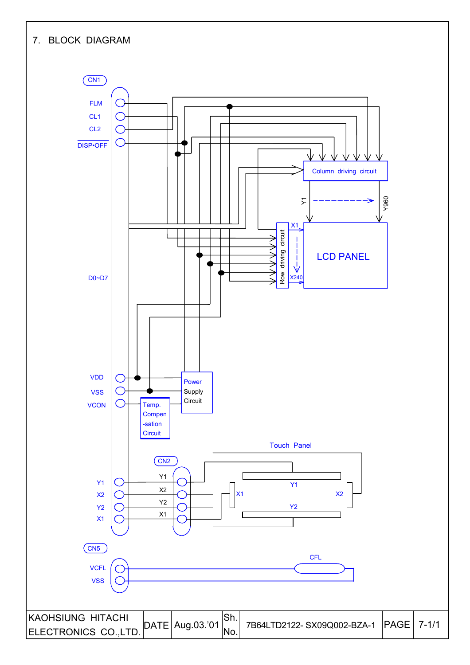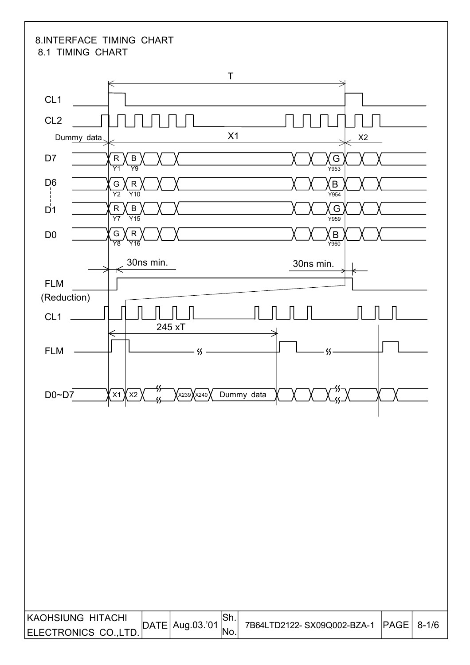#### 8.INTERFACE TIMING CHART 8.1 TIMING CHART

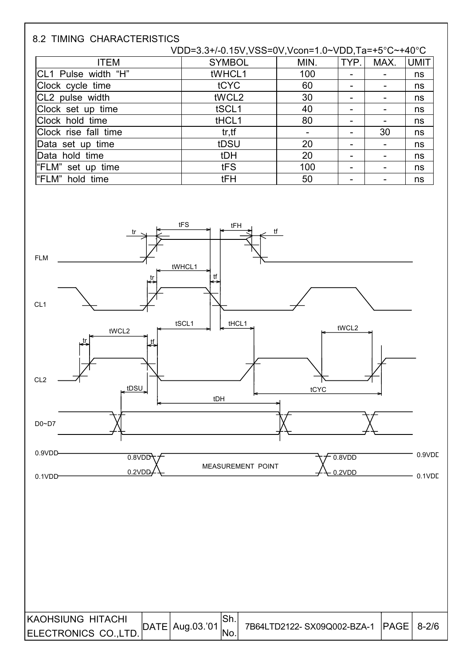| <b>8.2 TIMING CHARACTERISTICS</b> |                                                   |      |      |      |             |
|-----------------------------------|---------------------------------------------------|------|------|------|-------------|
|                                   | VDD=3.3+/-0.15V,VSS=0V,Vcon=1.0~VDD,Ta=+5°C~+40°C |      |      |      |             |
| <b>ITEM</b>                       | <b>SYMBOL</b>                                     | MIN. | TYP. | MAX. | <b>UMIT</b> |
| CL1 Pulse width "H"               | tWHCL1                                            | 100  |      |      | ns          |
| Clock cycle time                  | tCYC                                              | 60   |      |      | ns          |
| CL2 pulse width                   | tWCL2                                             | 30   |      |      | ns          |
| Clock set up time                 | tSCL1                                             | 40   |      |      | ns          |
| Clock hold time                   | tHCL1                                             | 80   |      |      | ns          |
| Clock rise fall time              | tr, tf                                            |      |      | 30   | ns          |
| Data set up time                  | tDSU                                              | 20   |      |      | ns          |
| Data hold time                    | tDH                                               | 20   |      |      | ns          |
| "FLM" set up time                 | tFS                                               | 100  |      |      | ns          |
| l"FLM"<br>hold time               | <b>tFH</b>                                        | 50   |      |      | ns          |

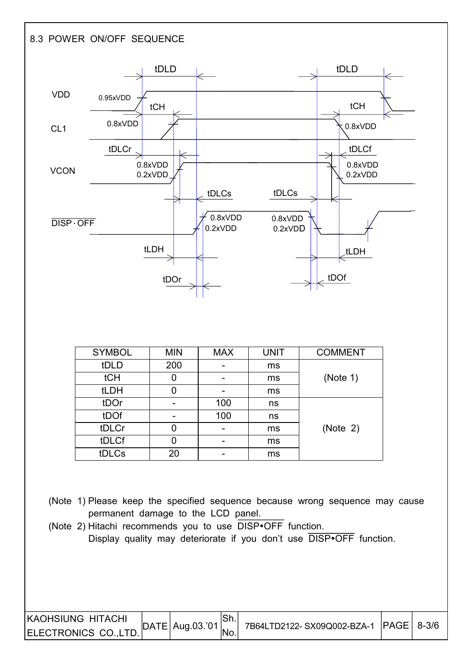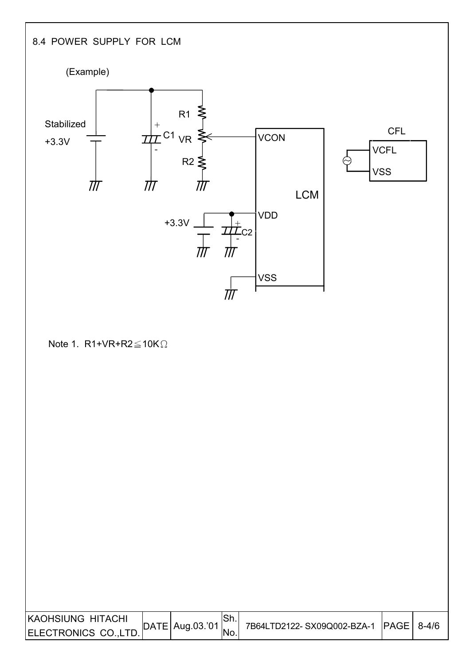## 8.4 POWER SUPPLY FOR LCM

I

I



Note 1. R1+VR+R2 $\leq$ 10K $\Omega$ 

| KAOHSIUNG HITACHI     | $\vert$ DATE   Aug.03.'01 | .ווט | 7B64LTD2122-SX09Q002-BZA-1  PAGE   8-4/6 |  |
|-----------------------|---------------------------|------|------------------------------------------|--|
| ELECTRONICS CO., LTD. |                           |      |                                          |  |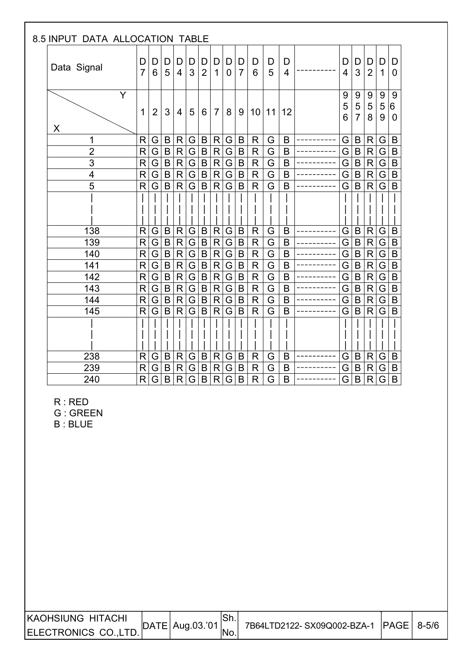| 8.5 INPUT DATA ALLOCATION TABLE |                         |                |                |                     |                         |                     |                   |                     |                     |                 |        |                     |             |                                       |                              |                   |                                    |
|---------------------------------|-------------------------|----------------|----------------|---------------------|-------------------------|---------------------|-------------------|---------------------|---------------------|-----------------|--------|---------------------|-------------|---------------------------------------|------------------------------|-------------------|------------------------------------|
| Data Signal                     | D<br>$\overline{7}$     | D<br>6         | D<br>5         | D<br>$\overline{4}$ | D<br>3                  | D<br>$\overline{2}$ | D<br>$\mathbf{1}$ | D<br>$\overline{0}$ | D<br>$\overline{7}$ | D<br>6          | D<br>5 | D<br>$\overline{4}$ | D<br>4      | D<br>3                                | D<br>$\overline{2}$          | D<br>$\mathbf{1}$ | D<br>$\mathbf 0$                   |
| Y<br>X                          | 1                       | $\overline{2}$ | 3              | $\overline{4}$      | 5                       | 6                   | $\overline{7}$    | 8                   | 9                   | 10 <sup>°</sup> | 11     | 12                  | 9<br>5<br>6 | 9<br>$\overline{5}$<br>$\overline{7}$ | $9\,$<br>$\overline{5}$<br>8 | $9\,$<br>5<br>9   | 9<br>$\overline{6}$<br>$\mathbf 0$ |
| 1                               | R                       | G              | B              | R                   | G                       | B                   | R                 | G                   | $\mathsf B$         | $\mathsf{R}$    | G      | $\mathsf B$         | G           | B                                     | R                            | G                 | B                                  |
| $\overline{2}$                  | $\mathsf{R}$            | G              | $\mathsf B$    | $\mathsf{R}$        | $\overline{\mathsf{G}}$ | $\sf B$             | $\mathsf{R}$      | G                   | $\sf B$             | $\mathsf{R}$    | G      | $\mathsf B$         | G           | $\mathsf B$                           | $\mathsf R$                  | G                 | $\sf B$                            |
| $\overline{3}$                  | $\mathsf{R}$            | G              | $\overline{B}$ | $\mathsf{R}$        | $\overline{G}$          | $\sf B$             | $\mathsf R$       | G                   | $\mathsf B$         | ${\sf R}$       | G      | B                   | G           | B                                     | R                            | G                 | $\sf B$                            |
| $\overline{\mathbf{4}}$         | R                       | G              | B              | R                   | G                       | $\sf B$             | R                 | G                   | B                   | ${\sf R}$       | G      | B                   | G           | B                                     | R                            | G                 | $\sf B$                            |
| 5                               | R                       | G              | $\overline{B}$ | R                   | $\overline{\mathsf{G}}$ | $\overline{B}$      | $\mathsf{R}$      | $\overline{G}$      | $\mathsf B$         | $\mathsf{R}$    | G      | B                   | G           | B                                     | $\mathsf{R}$                 | G                 | $\overline{B}$                     |
|                                 |                         |                |                |                     |                         |                     |                   |                     |                     |                 |        |                     |             |                                       |                              |                   |                                    |
| 138                             | R                       | G              | $\mathsf B$    | R                   | G                       | B                   | R                 | G                   | B                   | R               | G      | B                   | G           | B                                     | R                            | G                 | B                                  |
| 139                             | $\overline{\mathsf{R}}$ | G              | $\mathsf B$    | $\mathsf{R}$        | $\overline{G}$          | $\overline{B}$      | ${\sf R}$         | G                   | $\sf B$             | ${\sf R}$       | G      | $\overline{B}$      | G           | $\mathsf B$                           | $\mathsf{R}$                 | G                 | $\overline{B}$                     |
| 140                             | $\mathsf{R}$            | G              | $\overline{B}$ | R                   | $\overline{G}$          | $\overline{B}$      | $\mathsf{R}$      | G                   | $\sf B$             | ${\sf R}$       | G      | $\mathsf B$         | G           | $\mathsf B$                           | $\mathsf R$                  | G                 | $\overline{B}$                     |
| 141                             | R                       | G.             | $\mathsf B$    | R.                  | G                       | $\mathsf B$         | $\mathsf R$       | G                   | B                   | $\mathsf R$     | G      | B                   | G           | B                                     | $\mathsf R$                  | G                 | $\sf B$                            |
| 142                             | R                       | G              | $\mathsf B$    | R                   | $\overline{\mathsf{G}}$ | $\sf B$             | $\mathsf{R}$      | G                   | B                   | ${\sf R}$       | G      | B                   | G           | B                                     | $\mathsf{R}$                 | G                 | $\sf B$                            |
| 143                             | R                       | G.             | $\mathsf B$    | R.                  | G                       | $\sf B$             | $\mathsf{R}$      | G                   | $\mathsf B$         | ${\sf R}$       | G      | B                   | G           | B                                     | $\mathsf{R}$                 | G                 | $\overline{B}$                     |
| 144                             | $\overline{\mathsf{R}}$ | G              | $\mathsf B$    | R.                  | G                       | $\overline{B}$      | $\mathsf{R}$      | G                   | $\mathsf B$         | $\mathsf{R}$    | G      | B                   | G           | $\mathsf B$                           | $\mathsf{R}$                 | G                 | $\overline{B}$                     |
| 145                             | R                       | G              | $\mathsf B$    | R                   | $\overline{\mathsf{G}}$ | $\sf B$             | R                 | G                   | $\mathsf B$         | $\mathsf{R}$    | G      | B                   | G           | B                                     | R                            | G                 | $\mathsf B$                        |
|                                 |                         |                |                |                     |                         |                     |                   |                     |                     |                 |        |                     |             |                                       |                              |                   |                                    |
| 238                             | R                       | G.             | B              | R                   | G                       | B                   | R                 | G                   | B                   | R               | G      | B                   | G           | B                                     | $\mathsf R$                  | G                 | B                                  |
| 239                             | R                       | G              | $\overline{B}$ | R                   | $\overline{G}$          | $\overline{B}$      | R                 | G                   | B                   | $\mathsf{R}$    | G      | B                   | G           | B                                     | R                            | G                 | $\overline{B}$                     |
| 240                             | R                       | G              | B              | $\mathsf{R}$        | G                       | B                   | R                 | G                   | $\sf B$             | $\mathsf{R}$    | G      | B                   | G           | B                                     | R                            | G                 | B                                  |

R : RED

G : GREEN

B : BLUE

 $\overline{\phantom{a}}$ 

| KAOHSIUNG HITACHI     |                     |      |                                       |  |
|-----------------------|---------------------|------|---------------------------------------|--|
| ELECTRONICS CO., LTD. | $ DATE $ Aug.03.'01 | 'No. | 7B64LTD2122-SX09Q002-BZA-1 PAGE 8-5/6 |  |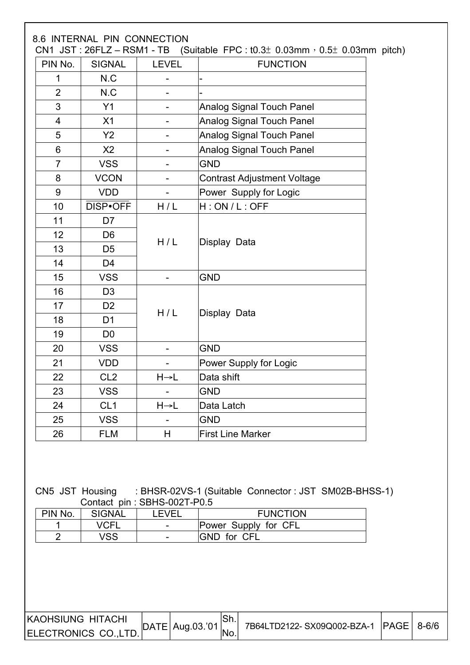|                |                 |                              | CN1 JST: 26FLZ - RSM1 - TB (Suitable FPC: $t0.3\pm 0.03$ mm, $0.5\pm 0.03$ mm pitch) |
|----------------|-----------------|------------------------------|--------------------------------------------------------------------------------------|
| PIN No.        | <b>SIGNAL</b>   | <b>LEVEL</b>                 | <b>FUNCTION</b>                                                                      |
| 1              | N.C             | -                            |                                                                                      |
| $\overline{2}$ | N.C             | -                            |                                                                                      |
| 3              | Y1              | $\qquad \qquad \blacksquare$ | <b>Analog Signal Touch Panel</b>                                                     |
| $\overline{4}$ | X1              | $\overline{\phantom{0}}$     | Analog Signal Touch Panel                                                            |
| 5              | Y2              | -                            | <b>Analog Signal Touch Panel</b>                                                     |
| 6              | X <sub>2</sub>  | $\qquad \qquad -$            | <b>Analog Signal Touch Panel</b>                                                     |
| $\overline{7}$ | <b>VSS</b>      | -                            | <b>GND</b>                                                                           |
| 8              | <b>VCON</b>     | $\blacksquare$               | <b>Contrast Adjustment Voltage</b>                                                   |
| 9              | <b>VDD</b>      | $\blacksquare$               | Power Supply for Logic                                                               |
| 10             | DISP•OFF        | H/L                          | H:ON/L:OFF                                                                           |
| 11             | D7              |                              |                                                                                      |
| 12             | D <sub>6</sub>  |                              |                                                                                      |
| 13             | D <sub>5</sub>  | H/L                          | Display Data                                                                         |
| 14             | D <sub>4</sub>  |                              |                                                                                      |
| 15             | <b>VSS</b>      | $\overline{\phantom{a}}$     | <b>GND</b>                                                                           |
| 16             | D <sub>3</sub>  |                              |                                                                                      |
| 17             | D <sub>2</sub>  |                              |                                                                                      |
| 18             | D <sub>1</sub>  | H/L                          | Display Data                                                                         |
| 19             | D <sub>0</sub>  |                              |                                                                                      |
| 20             | <b>VSS</b>      | $\blacksquare$               | <b>GND</b>                                                                           |
| 21             | <b>VDD</b>      | $\overline{\phantom{a}}$     | Power Supply for Logic                                                               |
| 22             | CL <sub>2</sub> | $H \rightarrow L$            | Data shift                                                                           |
| 23             | <b>VSS</b>      | $\overline{\phantom{a}}$     | <b>GND</b>                                                                           |
| 24             | CL <sub>1</sub> | $H \rightarrow L$            | Data Latch                                                                           |
| 25             | <b>VSS</b>      | $\overline{\phantom{a}}$     | <b>GND</b>                                                                           |
| 26             | <b>FLM</b>      | H                            | <b>First Line Marker</b>                                                             |

#### CN5 JST Housing : BHSR-02VS-1 (Suitable Connector : JST SM02B-BHSS-1) Contact pin : SBHS-002T-P0.5

| PIN No. | <b>SIGNAL</b> | EVEI | <b>FUNCTION</b>      |
|---------|---------------|------|----------------------|
|         | VCFI          | -    | Power Supply for CFL |
|         | /SS           |      | <b>GND</b> for CFL   |

| IKAOHSIUNG HITACHI   | $ DATE $ Aug.03.'01 $ $ . |                  | 7B64LTD2122-SX09Q002-BZA-1 PAGE 8-6/6 |  |
|----------------------|---------------------------|------------------|---------------------------------------|--|
| ELECTRONICS CO.,LTD. |                           | <sup>I</sup> No. |                                       |  |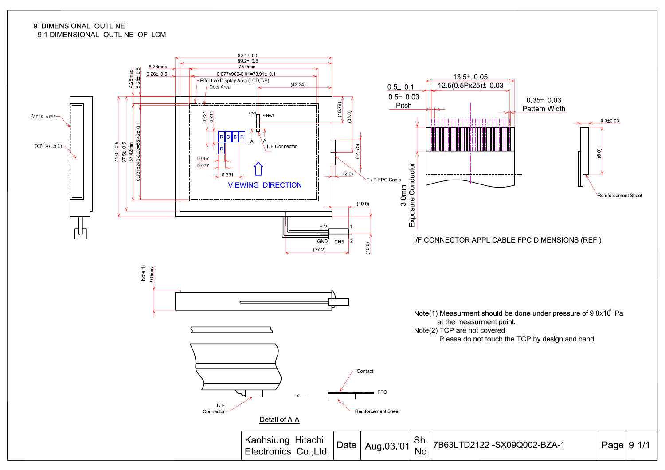#### 9. DIMENSIONAL OUTLINE 9.1 DIMENSIONAL OUTLINE OF LCM

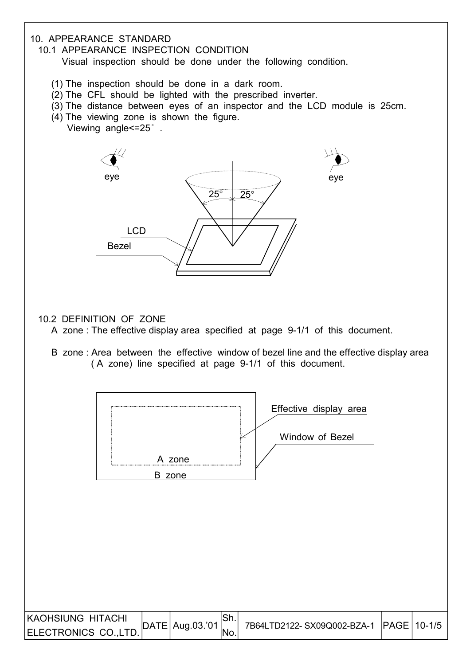#### 10. APPEARANCE STANDARD

10.1 APPEARANCE INSPECTION CONDITION

Visual inspection should be done under the following condition.

- (1) The inspection should be done in a dark room.
- (2) The CFL should be lighted with the prescribed inverter.
- (3) The distance between eyes of an inspector and the LCD module is 25cm.
- (4) The viewing zone is shown the figure.
	- Viewing angle<=25° .



10.2 DEFINITION OF ZONE

- A zone : The effective display area specified at page 9-1/1 of this document.
- B zone : Area between the effective window of bezel line and the effective display area ( A zone) line specified at page 9-1/1 of this document.

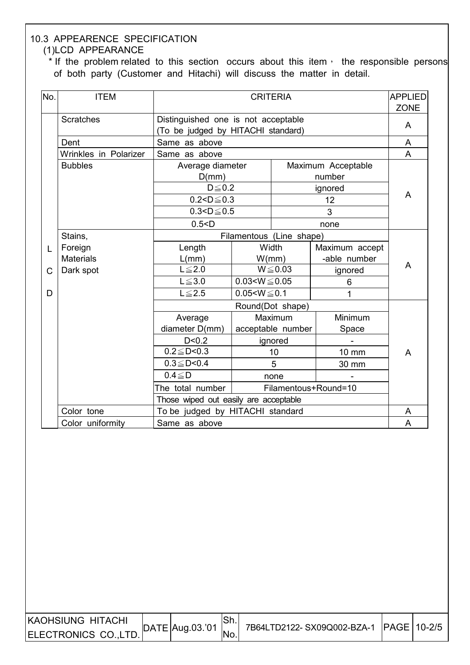#### 10.3 APPEARENCE SPECIFICATION (1)LCD APPEARANCE

\* If the problem related to this section occurs about this item, the responsible persons of both party (Customer and Hitachi) will discuss the matter in detail.

| No. | <b>ITEM</b>           | <b>CRITERIA</b><br><b>APPLIED</b>                                         |                     |                          |                          |                  |  |
|-----|-----------------------|---------------------------------------------------------------------------|---------------------|--------------------------|--------------------------|------------------|--|
|     | <b>Scratches</b>      | Distinguished one is not acceptable<br>(To be judged by HITACHI standard) |                     |                          |                          | <b>ZONE</b><br>A |  |
|     | Dent                  | Same as above                                                             |                     |                          |                          | A                |  |
|     | Wrinkles in Polarizer | Same as above                                                             |                     |                          |                          | A                |  |
|     | <b>Bubbles</b>        | Average diameter                                                          |                     |                          | Maximum Acceptable       |                  |  |
|     |                       | D(mm)                                                                     |                     |                          | number                   |                  |  |
|     |                       | $D \leq 0.2$                                                              |                     |                          | ignored                  |                  |  |
|     |                       | $0.2 < D \le 0.3$                                                         |                     |                          | 12                       | A                |  |
|     |                       | $0.3 < D \le 0.5$                                                         |                     |                          | 3                        |                  |  |
|     |                       | 0.5 < D                                                                   |                     |                          | none                     |                  |  |
|     | Stains,               |                                                                           |                     | Filamentous (Line shape) |                          |                  |  |
| L   | Foreign               | Length                                                                    |                     | Width                    | Maximum accept           |                  |  |
|     | <b>Materials</b>      | L/mm)                                                                     |                     | W/mm)                    | -able number             |                  |  |
| C   | Dark spot             | $L \leq 2.0$                                                              |                     | $W \le 0.03$             | ignored                  | A                |  |
|     |                       | $L \leq 3.0$                                                              | $0.03 < W \le 0.05$ |                          | 6                        |                  |  |
| D   |                       | $L \leq 2.5$                                                              | $0.05 < W \le 0.1$  |                          | $\mathbf{1}$             |                  |  |
|     |                       |                                                                           |                     | Round(Dot shape)         |                          |                  |  |
|     |                       | Average                                                                   | Maximum             |                          | Minimum                  |                  |  |
|     |                       | diameter D(mm)                                                            |                     | acceptable number        | Space                    |                  |  |
|     |                       | D < 0.2                                                                   |                     | ignored                  | $\overline{\phantom{0}}$ |                  |  |
|     |                       | $0.2 \leq D < 0.3$                                                        |                     | 10                       | 10 mm                    | A                |  |
|     |                       | $0.3 \leq D < 0.4$                                                        |                     | 5                        | 30 mm                    |                  |  |
|     |                       | $0.4 \le D$                                                               |                     | none                     |                          |                  |  |
|     |                       | The total number                                                          |                     |                          | Filamentous+Round=10     |                  |  |
|     |                       | Those wiped out easily are acceptable                                     |                     |                          |                          |                  |  |
|     | Color tone            | To be judged by HITACHI standard                                          |                     |                          |                          | A                |  |
|     | Color uniformity      | Same as above                                                             |                     |                          |                          | A                |  |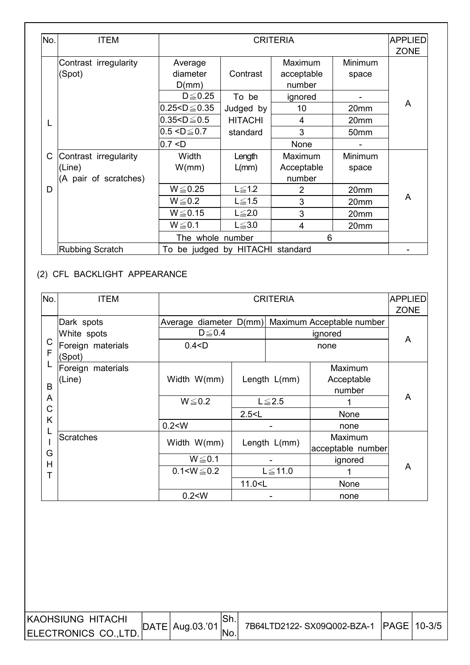| No. | <b>ITEM</b>                     |                              |                      | <b>CRITERIA</b>                 |                  | <b>APPLIED</b><br><b>ZONE</b> |
|-----|---------------------------------|------------------------------|----------------------|---------------------------------|------------------|-------------------------------|
|     | Contrast irregularity<br>(Spot) | Average<br>diameter<br>D(mm) | Contrast             | Maximum<br>acceptable<br>number | Minimum<br>space |                               |
|     |                                 | $D \leq 0.25$                | To be                | ignored                         |                  |                               |
|     |                                 | $0.25 < D \le 0.35$          | Judged by            | 10                              | 20 <sub>mm</sub> | A                             |
| L   |                                 | $0.35 < D \le 0.5$           | <b>HITACHI</b>       | $\overline{4}$                  | 20 <sub>mm</sub> |                               |
|     |                                 | $0.5 < D \leq 0.7$           | standard             | 3                               | 50 <sub>mm</sub> |                               |
|     |                                 | 0.7 < D                      |                      | None                            |                  |                               |
| C   | Contrast irregularity           | Width                        | Length               | Maximum                         | Minimum          |                               |
|     | (Line)                          | W/mm)                        | $L/mm$ )             | Acceptable                      | space            |                               |
|     | (A pair of scratches)           |                              |                      | number                          |                  |                               |
| D   |                                 | $W \le 0.25$                 | $L \leq 1.2$         | 2                               | 20mm             |                               |
|     |                                 | $W \le 0.2$                  | $L \leq 1.5$         | 3                               | 20mm             | A                             |
|     |                                 | $W \le 0.15$                 | $L \leq 2.0$         | 3                               | 20mm             |                               |
|     |                                 | $W \le 0.1$                  | $L \leq 3.0$         | 4                               | 20mm             |                               |
|     |                                 | The whole number             |                      | 6                               |                  |                               |
|     | <b>Rubbing Scratch</b>          | To                           | be judged by HITACHI | standard                        |                  |                               |

## (2) CFL BACKLIGHT APPEARANCE

 $\overline{\phantom{a}}$ 

| No.    | <b>ITEM</b>                 |                                                     |              | <b>CRITERIA</b> |                           | <b>APPLIED</b> |  |
|--------|-----------------------------|-----------------------------------------------------|--------------|-----------------|---------------------------|----------------|--|
|        |                             |                                                     |              |                 |                           | <b>ZONE</b>    |  |
|        | Dark spots                  | Average diameter D(mm)                              |              |                 | Maximum Acceptable number |                |  |
|        | White spots                 | $D \leq 0.4$                                        |              |                 | ignored                   | A              |  |
| C<br>F | Foreign materials<br>(Spot) | 0.4 < D                                             |              |                 |                           |                |  |
|        | Foreign materials           |                                                     |              |                 | Maximum                   |                |  |
|        | (Line)                      | Width W(mm)                                         | Length L(mm) |                 | Acceptable                |                |  |
| B      |                             |                                                     |              |                 | number                    |                |  |
| A      |                             | $W \le 0.2$                                         |              | $L \leq 2.5$    |                           | A              |  |
| C      |                             |                                                     | 2.5 < L      |                 | None                      |                |  |
| Κ      |                             | 0.2 < W                                             |              |                 | none                      |                |  |
|        | Scratches                   |                                                     |              |                 | Maximum                   |                |  |
| G      |                             | Width W(mm)                                         |              | Length L(mm)    | acceptable number         |                |  |
| H      |                             | $W \le 0.1$                                         |              |                 | ignored                   |                |  |
| Т      |                             | $0.1 < W \le 0.2$                                   |              | $L \le 11.0$    |                           | A              |  |
|        |                             | 11.0 <l< td=""><td></td><td>None</td><td></td></l<> |              |                 | None                      |                |  |
|        |                             | 0.2 < W                                             |              |                 | none                      |                |  |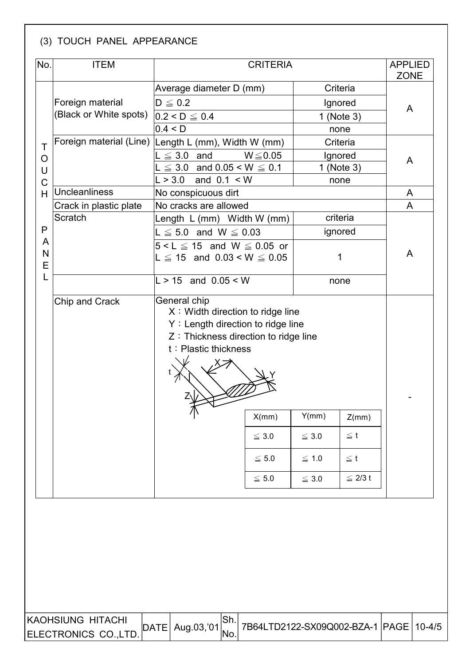## (3) TOUCH PANEL APPEARANCE

 $\overline{\phantom{a}}$ 

 $\overline{\phantom{a}}$ 

| No.         | <b>ITEM</b>                                                                                                                             |                                                                            | <b>CRITERIA</b>       |            |              |             |  |  |  |  |
|-------------|-----------------------------------------------------------------------------------------------------------------------------------------|----------------------------------------------------------------------------|-----------------------|------------|--------------|-------------|--|--|--|--|
|             |                                                                                                                                         | Average diameter D (mm)                                                    |                       |            | Criteria     | <b>ZONE</b> |  |  |  |  |
|             | Foreign material                                                                                                                        | $D \leq 0.2$                                                               |                       | Ignored    |              | A           |  |  |  |  |
|             | (Black or White spots)                                                                                                                  | $0.2 < D \le 0.4$                                                          |                       |            | 1 (Note 3)   |             |  |  |  |  |
|             |                                                                                                                                         | 0.4 < D                                                                    |                       |            | none         |             |  |  |  |  |
| Τ           | Foreign material (Line) Length L (mm), Width W (mm)                                                                                     |                                                                            |                       |            | Criteria     |             |  |  |  |  |
| O           |                                                                                                                                         | $L \leq 3.0$ and                                                           | $W \le 0.05$          |            | Ignored      | A           |  |  |  |  |
| $\cup$      |                                                                                                                                         | $L \le 3.0$ and $0.05 \le W \le 0.1$                                       |                       |            | 1 (Note 3)   |             |  |  |  |  |
| $\mathsf C$ |                                                                                                                                         | L > 3.0                                                                    | and $0.1 < W$<br>none |            |              |             |  |  |  |  |
| H           | Uncleanliness                                                                                                                           | No conspicuous dirt                                                        |                       |            |              | A           |  |  |  |  |
|             | Crack in plastic plate                                                                                                                  | No cracks are allowed                                                      |                       |            |              | A           |  |  |  |  |
| P           | Scratch                                                                                                                                 | Length L (mm) Width W (mm)                                                 |                       |            | criteria     |             |  |  |  |  |
| A           |                                                                                                                                         | $L \leq 5.0$ and $W \leq 0.03$                                             |                       |            | ignored      |             |  |  |  |  |
| N<br>E      |                                                                                                                                         | $5 < L \leq 15$ and W $\leq 0.05$ or<br>$L \le 15$ and $0.03 < W \le 0.05$ |                       |            | 1            | A           |  |  |  |  |
| L           |                                                                                                                                         | $L > 15$ and $0.05 < W$                                                    |                       | none       |              |             |  |  |  |  |
|             | $X:$ Width direction to ridge line<br>Y: Length direction to ridge line<br>Z: Thickness direction to ridge line<br>t: Plastic thickness |                                                                            |                       |            |              |             |  |  |  |  |
|             |                                                                                                                                         | 小                                                                          | X/mm                  | Y(mm)      | Z(mm)        |             |  |  |  |  |
|             |                                                                                                                                         |                                                                            | $\leq 3.0$            | $\leq 3.0$ | $\leq$ t     |             |  |  |  |  |
|             |                                                                                                                                         |                                                                            | $\leq 5.0$            | $\leq 1.0$ | $\leq$ t     |             |  |  |  |  |
|             |                                                                                                                                         |                                                                            | $\leq 5.0$            | $\leq 3.0$ | $\leq 2/3$ t |             |  |  |  |  |
|             |                                                                                                                                         |                                                                            |                       |            |              |             |  |  |  |  |

| IKAOHSIUNG HITACHI                 |                                                                    | 7B64LTD2122-SX09Q002-BZA-1   PAGE   10-4/5 |  |
|------------------------------------|--------------------------------------------------------------------|--------------------------------------------|--|
| ELECTRONICS CO.,LTD.  <sup>*</sup> | $\left  \text{DATE} \right $ Aug.03, 01 $\left  \text{No} \right $ |                                            |  |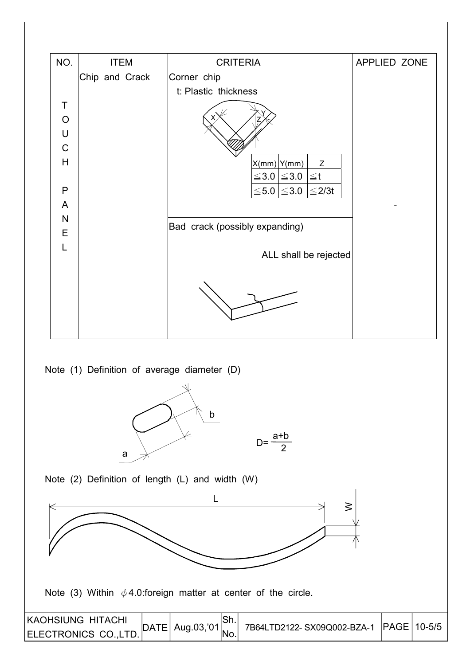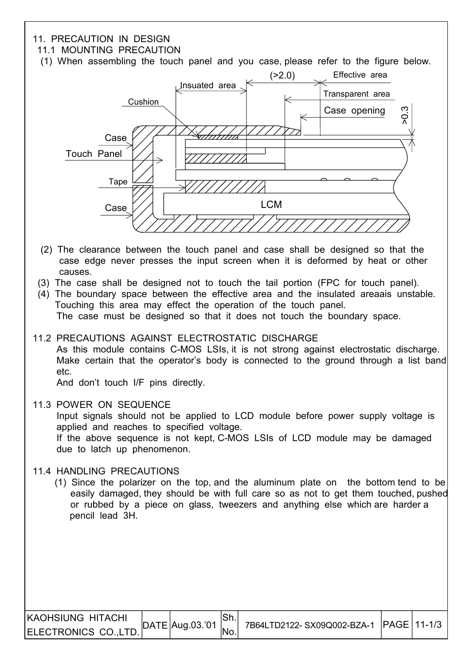#### 11. PRECAUTION IN DESIGN

#### 11.1 MOUNTING PRECAUTION

(1) When assembling the touch panel and you case, please refer to the figure below.



- (2) The clearance between the touch panel and case shall be designed so that the case edge never presses the input screen when it is deformed by heat or other causes.
- (3) The case shall be designed not to touch the tail portion (FPC for touch panel).
- (4) The boundary space between the effective area and the insulated areaais unstable. Touching this area may effect the operation of the touch panel. The case must be designed so that it does not touch the boundary space.
- 11.2 PRECAUTIONS AGAINST ELECTROSTATIC DISCHARGE

 As this module contains C-MOS LSIs, it is not strong against electrostatic discharge. Make certain that the operator's body is connected to the ground through a list band etc.

And don't touch I/F pins directly.

11.3 POWER ON SEQUENCE

 Input signals should not be applied to LCD module before power supply voltage is applied and reaches to specified voltage. If the above sequence is not kept, C-MOS LSIs of LCD module may be damaged due to latch up phenomenon.

11.4 HANDLING PRECAUTIONS

 $\overline{\phantom{a}}$ 

 (1) Since the polarizer on the top, and the aluminum plate on the bottom tend to be easily damaged, they should be with full care so as not to get them touched, pushed or rubbed by a piece on glass, tweezers and anything else which are harder a pencil lead 3H.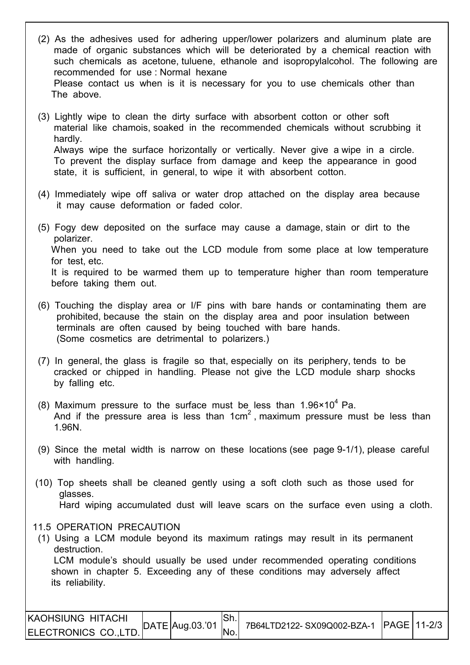- (2) As the adhesives used for adhering upper/lower polarizers and aluminum plate are made of organic substances which will be deteriorated by a chemical reaction with such chemicals as acetone, tuluene, ethanole and isopropylalcohol. The following are recommended for use : Normal hexane Please contact us when is it is necessary for you to use chemicals other than The above.
- (3) Lightly wipe to clean the dirty surface with absorbent cotton or other soft material like chamois, soaked in the recommended chemicals without scrubbing it hardly. Always wipe the surface horizontally or vertically. Never give a wipe in a circle. To prevent the display surface from damage and keep the appearance in good state, it is sufficient, in general, to wipe it with absorbent cotton.
- (4) Immediately wipe off saliva or water drop attached on the display area because it may cause deformation or faded color.
- (5) Fogy dew deposited on the surface may cause a damage, stain or dirt to the polarizer. When you need to take out the LCD module from some place at low temperature for test, etc. It is required to be warmed them up to temperature higher than room temperature before taking them out.
- (6) Touching the display area or I/F pins with bare hands or contaminating them are prohibited, because the stain on the display area and poor insulation between terminals are often caused by being touched with bare hands. (Some cosmetics are detrimental to polarizers.)
- (7) In general, the glass is fragile so that, especially on its periphery, tends to be cracked or chipped in handling. Please not give the LCD module sharp shocks by falling etc.
- (8) Maximum pressure to the surface must be less than  $1.96 \times 10^4$  Pa.  $\vert$   $\vert$   $\vert$  And if the pressure area is less than 1cm<sup>2</sup>, maximum pressure must be less than 1.96N.
	- (9) Since the metal width is narrow on these locations (see page 9-1/1), please careful with handling.
	- (10) Top sheets shall be cleaned gently using a soft cloth such as those used for glasses. Hard wiping accumulated dust will leave scars on the surface even using a cloth.

11.5 OPERATION PRECAUTION

 (1) Using a LCM module beyond its maximum ratings may result in its permanent destruction.

 LCM module's should usually be used under recommended operating conditions shown in chapter 5. Exceeding any of these conditions may adversely affect its reliability.

| KAOHSIUNG HITACHI    | $\Delta E$ [DATE]Aug.03.'01 | 7B64LTD2122-SX09Q002-BZA-1 PAGE 11-2/3 |  |
|----------------------|-----------------------------|----------------------------------------|--|
| ELECTRONICS CO.,LTD. |                             |                                        |  |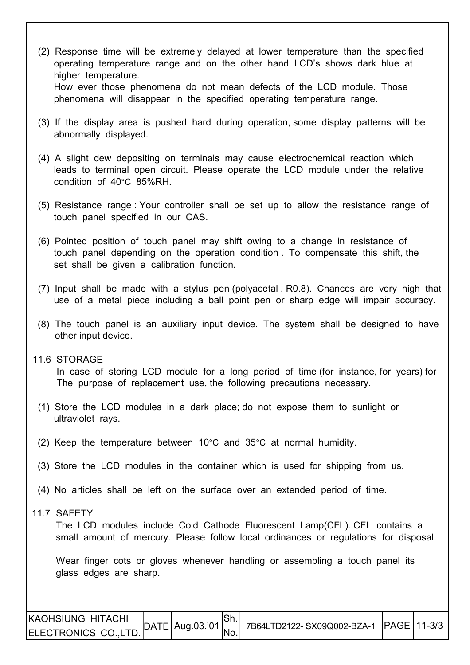- (2) Response time will be extremely delayed at lower temperature than the specified operating temperature range and on the other hand LCD's shows dark blue at higher temperature. How ever those phenomena do not mean defects of the LCD module. Those phenomena will disappear in the specified operating temperature range.
- (3) If the display area is pushed hard during operation, some display patterns will be abnormally displayed.
- (4) A slight dew depositing on terminals may cause electrochemical reaction which leads to terminal open circuit. Please operate the LCD module under the relative condition of 40°C 85%RH.
- (5) Resistance range : Your controller shall be set up to allow the resistance range of touch panel specified in our CAS.
- (6) Pointed position of touch panel may shift owing to a change in resistance of touch panel depending on the operation condition . To compensate this shift, the set shall be given a calibration function.
- (7) Input shall be made with a stylus pen (polyacetal , R0.8). Chances are very high that use of a metal piece including a ball point pen or sharp edge will impair accuracy.
- (8) The touch panel is an auxiliary input device. The system shall be designed to have other input device.
- 11.6 STORAGE

 In case of storing LCD module for a long period of time (for instance, for years) for The purpose of replacement use, the following precautions necessary.

- (1) Store the LCD modules in a dark place; do not expose them to sunlight or ultraviolet rays.
- (2) Keep the temperature between 10°C and 35°C at normal humidity.
- (3) Store the LCD modules in the container which is used for shipping from us.
- (4) No articles shall be left on the surface over an extended period of time.
- 11.7 SAFETY

I

The LCD modules include Cold Cathode Fluorescent Lamp(CFL). CFL contains a small amount of mercury. Please follow local ordinances or regulations for disposal.

Wear finger cots or gloves whenever handling or assembling a touch panel its glass edges are sharp.

| <b>IKAOHSIUNG HITACHI</b> |                                         |                 | 7B64LTD2122-SX09Q002-BZA-1 PAGE 11-3/3 |  |
|---------------------------|-----------------------------------------|-----------------|----------------------------------------|--|
| ELECTRONICS CO.,LTD.      | $\vert$ DATE $\vert$ Aug.03.'01 $\vert$ | IN <sub>o</sub> |                                        |  |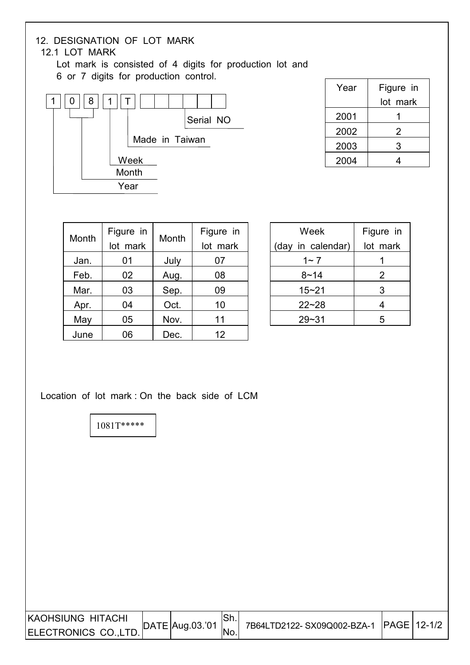## 12. DESIGNATION OF LOT MARK

#### 12.1 LOT MARK

 Lot mark is consisted of 4 digits for production lot and 6 or 7 digits for production control.



| Year | Figure in |
|------|-----------|
|      | lot mark  |
| 2001 |           |
| 2002 | 2         |
| 2003 | 3         |
| 2004 |           |

| Month | Figure in<br>lot mark | Month | Figure in |  |  |
|-------|-----------------------|-------|-----------|--|--|
|       |                       |       | lot mark  |  |  |
| Jan.  | 01                    | July  | 07        |  |  |
| Feb.  | 02                    | Aug.  | 08        |  |  |
| Mar.  | 03                    | Sep.  | 09        |  |  |
| Apr.  | 04                    | Oct.  | 10        |  |  |
| May   | 05                    | Nov.  | 11        |  |  |
| June  | 06                    | Dec.  | 12        |  |  |

| Week              | Figure in |  |  |
|-------------------|-----------|--|--|
| (day in calendar) | lot mark  |  |  |
| 1~ 7              |           |  |  |
| $8 - 14$          | 2         |  |  |
| $15 - 21$         | 3         |  |  |
| $22 - 28$         | 4         |  |  |
| 29~31             | 5         |  |  |

Location of lot mark : On the back side of LCM

1081T\*\*\*\*\*

| <b>KAOHSIUNG HITACHI</b> | $\vert$ DATE $\vert$ Aug.03.'01 $\vert$ |     | 7B64LTD2122-SX09Q002-BZA-1 PAGE 12-1/2 |  |
|--------------------------|-----------------------------------------|-----|----------------------------------------|--|
| ELECTRONICS CO.,LTD.     |                                         | No. |                                        |  |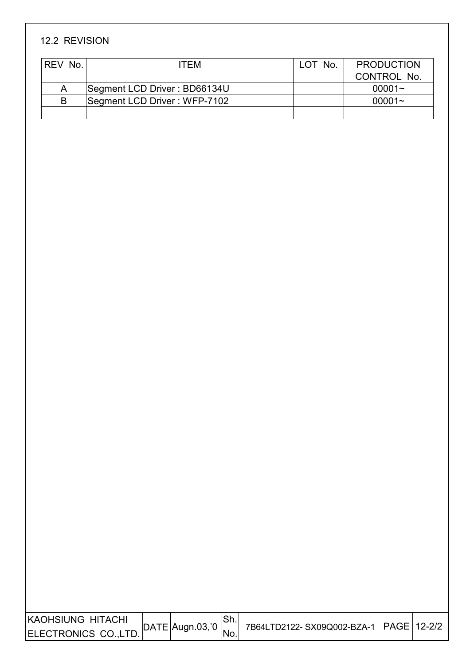## 12.2 REVISION

I

I

| <b>REV No.</b> | ITFM                         | LOT No. | <b>PRODUCTION</b> |
|----------------|------------------------------|---------|-------------------|
|                |                              |         | CONTROL No.       |
| Α              | Segment LCD Driver: BD66134U |         | $00001 -$         |
| B              | Segment LCD Driver: WFP-7102 |         | $00001 -$         |
|                |                              |         |                   |

| IKAOHSIUNG HITACHI   | $DATE$ Augn.03, 0 |     | 7B64LTD2122-SX09Q002-BZA-1  PAGE   12-2/2 |  |
|----------------------|-------------------|-----|-------------------------------------------|--|
| ELECTRONICS CO.,LTD. |                   | No. |                                           |  |